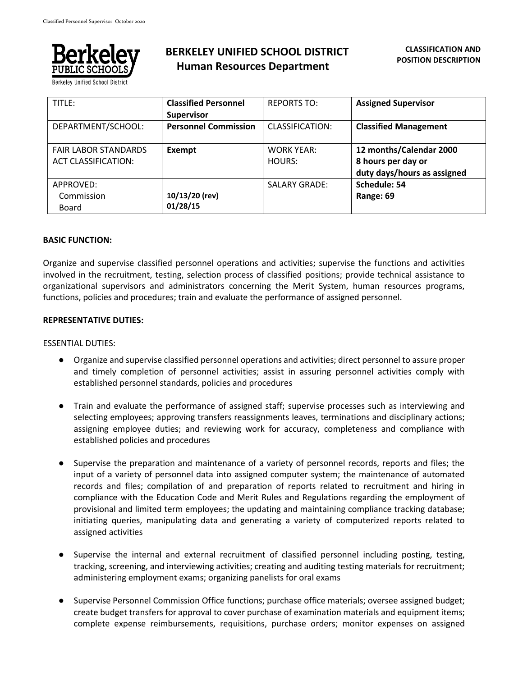

**Berkelev Unified School District** 

# **BERKELEY UNIFIED SCHOOL DISTRICT Human Resources Department**

| TITLE:                                                    | <b>Classified Personnel</b><br><b>Supervisor</b> | <b>REPORTS TO:</b>          | <b>Assigned Supervisor</b>                                                   |
|-----------------------------------------------------------|--------------------------------------------------|-----------------------------|------------------------------------------------------------------------------|
| DEPARTMENT/SCHOOL:                                        | <b>Personnel Commission</b>                      | CLASSIFICATION:             | <b>Classified Management</b>                                                 |
| <b>FAIR LABOR STANDARDS</b><br><b>ACT CLASSIFICATION:</b> | Exempt                                           | <b>WORK YEAR:</b><br>HOURS: | 12 months/Calendar 2000<br>8 hours per day or<br>duty days/hours as assigned |
| APPROVED:<br>Commission<br><b>Board</b>                   | 10/13/20 (rev)<br>01/28/15                       | <b>SALARY GRADE:</b>        | Schedule: 54<br>Range: 69                                                    |

### **BASIC FUNCTION:**

Organize and supervise classified personnel operations and activities; supervise the functions and activities involved in the recruitment, testing, selection process of classified positions; provide technical assistance to organizational supervisors and administrators concerning the Merit System, human resources programs, functions, policies and procedures; train and evaluate the performance of assigned personnel.

#### **REPRESENTATIVE DUTIES:**

#### ESSENTIAL DUTIES:

- Organize and supervise classified personnel operations and activities; direct personnel to assure proper and timely completion of personnel activities; assist in assuring personnel activities comply with established personnel standards, policies and procedures
- Train and evaluate the performance of assigned staff; supervise processes such as interviewing and selecting employees; approving transfers reassignments leaves, terminations and disciplinary actions; assigning employee duties; and reviewing work for accuracy, completeness and compliance with established policies and procedures
- Supervise the preparation and maintenance of a variety of personnel records, reports and files; the input of a variety of personnel data into assigned computer system; the maintenance of automated records and files; compilation of and preparation of reports related to recruitment and hiring in compliance with the Education Code and Merit Rules and Regulations regarding the employment of provisional and limited term employees; the updating and maintaining compliance tracking database; initiating queries, manipulating data and generating a variety of computerized reports related to assigned activities
- Supervise the internal and external recruitment of classified personnel including posting, testing, tracking, screening, and interviewing activities; creating and auditing testing materials for recruitment; administering employment exams; organizing panelists for oral exams
- Supervise Personnel Commission Office functions; purchase office materials; oversee assigned budget; create budget transfers for approval to cover purchase of examination materials and equipment items; complete expense reimbursements, requisitions, purchase orders; monitor expenses on assigned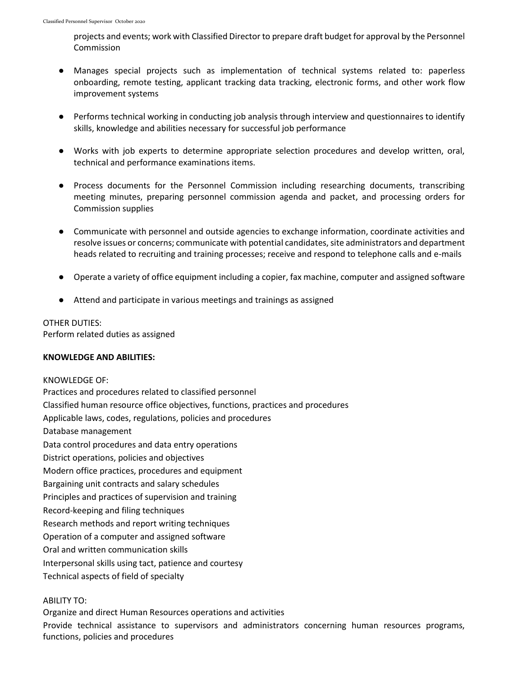projects and events; work with Classified Director to prepare draft budget for approval by the Personnel Commission

- Manages special projects such as implementation of technical systems related to: paperless onboarding, remote testing, applicant tracking data tracking, electronic forms, and other work flow improvement systems
- Performs technical working in conducting job analysis through interview and questionnaires to identify skills, knowledge and abilities necessary for successful job performance
- Works with job experts to determine appropriate selection procedures and develop written, oral, technical and performance examinations items.
- Process documents for the Personnel Commission including researching documents, transcribing meeting minutes, preparing personnel commission agenda and packet, and processing orders for Commission supplies
- Communicate with personnel and outside agencies to exchange information, coordinate activities and resolve issues or concerns; communicate with potential candidates, site administrators and department heads related to recruiting and training processes; receive and respond to telephone calls and e-mails
- Operate a variety of office equipment including a copier, fax machine, computer and assigned software
- Attend and participate in various meetings and trainings as assigned

### OTHER DUTIES:

Perform related duties as assigned

### **KNOWLEDGE AND ABILITIES:**

KNOWLEDGE OF: Practices and procedures related to classified personnel Classified human resource office objectives, functions, practices and procedures Applicable laws, codes, regulations, policies and procedures Database management Data control procedures and data entry operations District operations, policies and objectives Modern office practices, procedures and equipment Bargaining unit contracts and salary schedules Principles and practices of supervision and training Record-keeping and filing techniques Research methods and report writing techniques Operation of a computer and assigned software Oral and written communication skills Interpersonal skills using tact, patience and courtesy Technical aspects of field of specialty

## ABILITY TO:

Organize and direct Human Resources operations and activities Provide technical assistance to supervisors and administrators concerning human resources programs, functions, policies and procedures